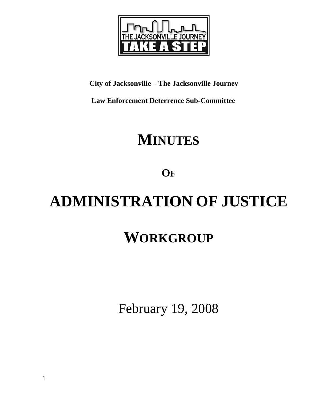

## **City of Jacksonville – The Jacksonville Journey**

 **Law Enforcement Deterrence Sub-Committee** 

# **MINUTES**

**OF**

# **ADMINISTRATION OF JUSTICE**

# **WORKGROUP**

February 19, 2008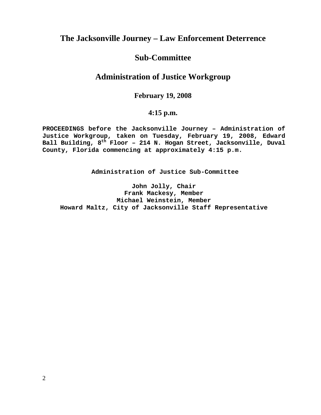### **The Jacksonville Journey – Law Enforcement Deterrence**

#### **Sub-Committee**

### **Administration of Justice Workgroup**

#### **February 19, 2008**

#### **4:15 p.m.**

**PROCEEDINGS before the Jacksonville Journey – Administration of Justice Workgroup, taken on Tuesday, February 19, 2008, Edward**  Ball Building, 8<sup>th</sup> Floor - 214 N. Hogan Street, Jacksonville, Duval **County, Florida commencing at approximately 4:15 p.m.** 

**Administration of Justice Sub-Committee** 

**John Jolly, Chair Frank Mackesy, Member Michael Weinstein, Member Howard Maltz, City of Jacksonville Staff Representative**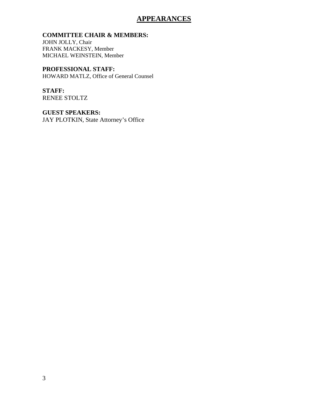#### **APPEARANCES**

#### **COMMITTEE CHAIR & MEMBERS:**

JOHN JOLLY, Chair FRANK MACKESY, Member MICHAEL WEINSTEIN, Member

**PROFESSIONAL STAFF:** HOWARD MATLZ, Office of General Counsel

**STAFF:**  RENEE STOLTZ

**GUEST SPEAKERS:**  JAY PLOTKIN, State Attorney's Office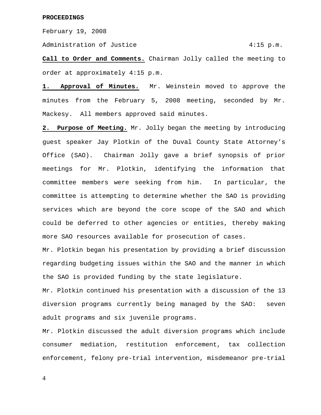February 19, 2008

Administration of Justice 4:15 p.m.

**Call to Order and Comments.** Chairman Jolly called the meeting to order at approximately 4:15 p.m.

**1. Approval of Minutes.** Mr. Weinstein moved to approve the minutes from the February 5, 2008 meeting, seconded by Mr. Mackesy. All members approved said minutes.

**2. Purpose of Meeting.** Mr. Jolly began the meeting by introducing guest speaker Jay Plotkin of the Duval County State Attorney's Office (SAO). Chairman Jolly gave a brief synopsis of prior meetings for Mr. Plotkin, identifying the information that committee members were seeking from him. In particular, the committee is attempting to determine whether the SAO is providing services which are beyond the core scope of the SAO and which could be deferred to other agencies or entities, thereby making more SAO resources available for prosecution of cases.

Mr. Plotkin began his presentation by providing a brief discussion regarding budgeting issues within the SAO and the manner in which the SAO is provided funding by the state legislature.

Mr. Plotkin continued his presentation with a discussion of the 13 diversion programs currently being managed by the SAO: seven adult programs and six juvenile programs.

Mr. Plotkin discussed the adult diversion programs which include consumer mediation, restitution enforcement, tax collection enforcement, felony pre-trial intervention, misdemeanor pre-trial

4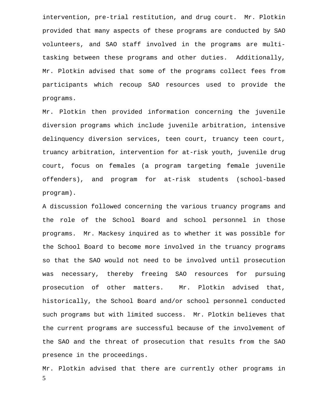intervention, pre-trial restitution, and drug court. Mr. Plotkin provided that many aspects of these programs are conducted by SAO volunteers, and SAO staff involved in the programs are multitasking between these programs and other duties. Additionally, Mr. Plotkin advised that some of the programs collect fees from participants which recoup SAO resources used to provide the programs.

Mr. Plotkin then provided information concerning the juvenile diversion programs which include juvenile arbitration, intensive delinquency diversion services, teen court, truancy teen court, truancy arbitration, intervention for at-risk youth, juvenile drug court, focus on females (a program targeting female juvenile offenders), and program for at-risk students (school-based program).

A discussion followed concerning the various truancy programs and the role of the School Board and school personnel in those programs. Mr. Mackesy inquired as to whether it was possible for the School Board to become more involved in the truancy programs so that the SAO would not need to be involved until prosecution was necessary, thereby freeing SAO resources for pursuing prosecution of other matters. Mr. Plotkin advised that, historically, the School Board and/or school personnel conducted such programs but with limited success. Mr. Plotkin believes that the current programs are successful because of the involvement of the SAO and the threat of prosecution that results from the SAO presence in the proceedings.

5 Mr. Plotkin advised that there are currently other programs in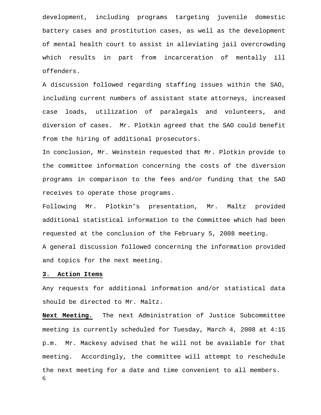development, including programs targeting juvenile domestic battery cases and prostitution cases, as well as the development of mental health court to assist in alleviating jail overcrowding which results in part from incarceration of mentally ill offenders.

A discussion followed regarding staffing issues within the SAO, including current numbers of assistant state attorneys, increased case loads, utilization of paralegals and volunteers, and diversion of cases. Mr. Plotkin agreed that the SAO could benefit from the hiring of additional prosecutors.

In conclusion, Mr. Weinstein requested that Mr. Plotkin provide to the committee information concerning the costs of the diversion programs in comparison to the fees and/or funding that the SAO receives to operate those programs.

Following Mr. Plotkin's presentation, Mr. Maltz provided additional statistical information to the Committee which had been requested at the conclusion of the February 5, 2008 meeting. A general discussion followed concerning the information provided and topics for the next meeting.

#### **3. Action Items**

Any requests for additional information and/or statistical data should be directed to Mr. Maltz.

6 **Next Meeting.** The next Administration of Justice Subcommittee meeting is currently scheduled for Tuesday, March 4, 2008 at 4:15 p.m. Mr. Mackesy advised that he will not be available for that meeting. Accordingly, the committee will attempt to reschedule the next meeting for a date and time convenient to all members.